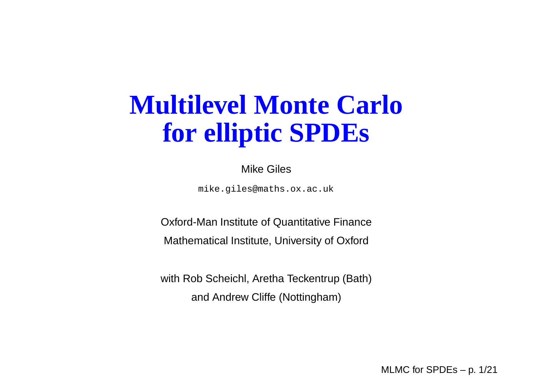## **Multilevel Monte Carlofor elliptic SPDEs**

Mike Giles

mike.giles@maths.ox.ac.uk

Oxford-Man Institute of Quantitative Finance

Mathematical Institute, University of Oxford

with Rob Scheichl, Aretha Teckentrup (Bath)and Andrew Cliffe (Nottingham)

MLMC for SPDEs – p. 1/21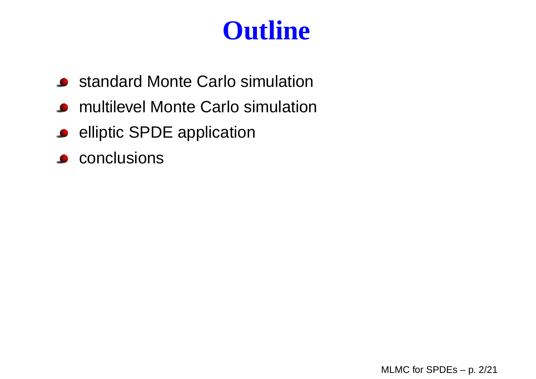## **Outline**

- **•** standard Monte Carlo simulation
- multilevel Monte Carlo simulation $\bullet$
- **e** elliptic SPDE application
- **conclusions**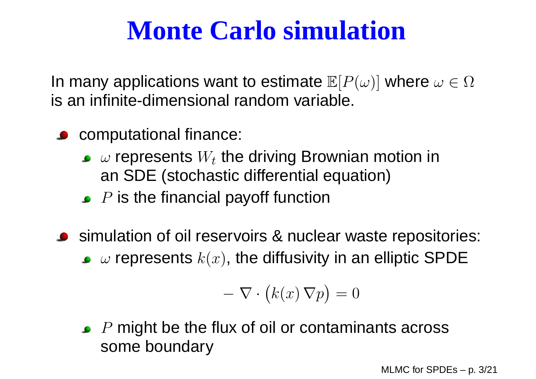In many applications want to estimate  $\mathbb{E}[P(\omega)]$  where  $\omega\in\Omega$ is an infinite-dimensional random variable.

- **COMPUTATIONAL FINANCE:** 
	- $\omega$  represents  $W_t$  the driving Brownian motion in an SDE (stochastic differential equation)
	- $P$  is the financial payoff function
- simulation of oil reservoirs & nuclear waste repositories:  $\omega$  represents  $k(x)$ , the diffusivity in an elliptic SPDE

$$
-\nabla \cdot (k(x)\,\nabla p) = 0
$$

 $P$  might be the flux of oil or contaminants across some boundary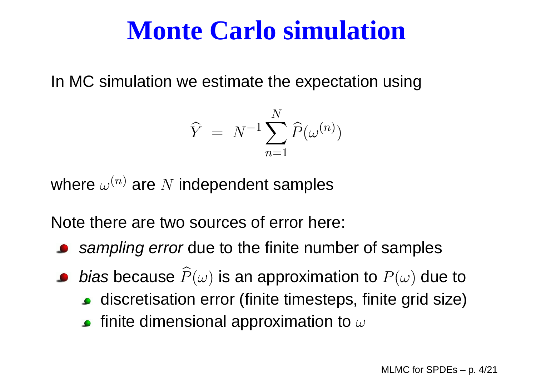In MC simulation we estimate the expectation using

$$
\widehat{Y} = N^{-1} \sum_{n=1}^{N} \widehat{P}(\omega^{(n)})
$$

where  $\omega^{(n)}$  are  $N$  independent samples

Note there are two sources of error here:

- s*ampling error* due to the finite number of samples
- *bias* because  $\widehat{P}(\omega)$  is an approximation to  $P(\omega)$  due to
	- discretisation error (finite timesteps, finite grid size)
	- finite dimensional approximation to  $\omega$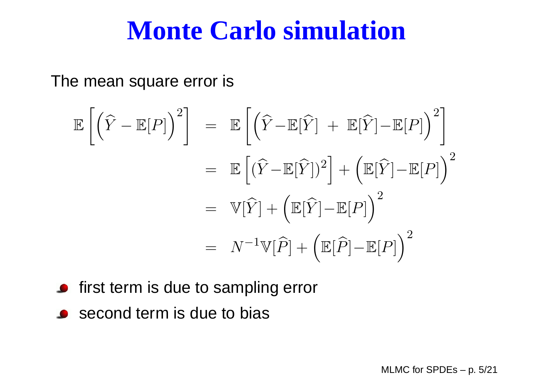The mean square error is

$$
\mathbb{E}\left[\left(\widehat{Y} - \mathbb{E}[P]\right)^2\right] = \mathbb{E}\left[\left(\widehat{Y} - \mathbb{E}[\widehat{Y}] + \mathbb{E}[\widehat{Y}] - \mathbb{E}[P]\right)^2\right]
$$

$$
= \mathbb{E}\left[\left(\widehat{Y} - \mathbb{E}[\widehat{Y}]\right)^2\right] + \left(\mathbb{E}[\widehat{Y}] - \mathbb{E}[P]\right)^2
$$

$$
= \mathbb{V}[\widehat{Y}] + \left(\mathbb{E}[\widehat{Y}] - \mathbb{E}[P]\right)^2
$$

$$
= N^{-1}\mathbb{V}[\widehat{P}] + \left(\mathbb{E}[\widehat{P}] - \mathbb{E}[P]\right)^2
$$

- **•** first term is due to sampling error
- **Second term is due to bias**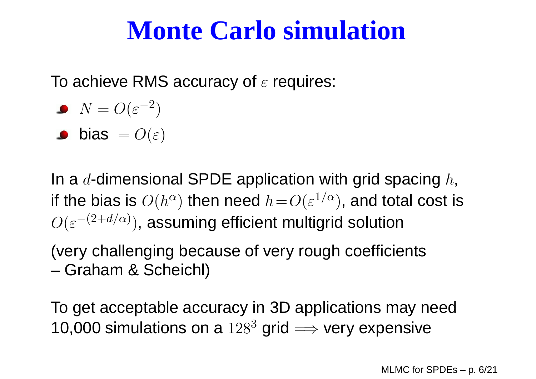To achieve RMS accuracy of  $\varepsilon$  requires:

$$
\bullet \ \ N = O(\varepsilon^{-2})
$$

$$
\bullet \quad \textsf{bias} \ = O(\varepsilon)
$$

In a  $d$ -dimensional SPDE application with grid spacing  $h,$ if the bias is  $O(h^{\alpha})$  then need  $h\!=\!O(\varepsilon^{1/\alpha}),$  and total co  $\sqrt{2}$  $\mathcal{L}$  and  $\mathcal{L}$  and  $\mathcal{L}$  and  $\mathcal{L}$  and  $\mathcal{L}$  $\alpha)$  then need  $h\!=\!O(\varepsilon^{1/\alpha})$  $O(\varepsilon^{-(2+d/\alpha)})$ , assuming efficient multigrid solution  $^\alpha$ ), and total cost is

(very challenging because of very rough coefficients–Graham & Scheichl)

To get acceptable accuracy in 3D applications may need10,000 simulations on a  $128^3$  grid  $\Longrightarrow$  very expensive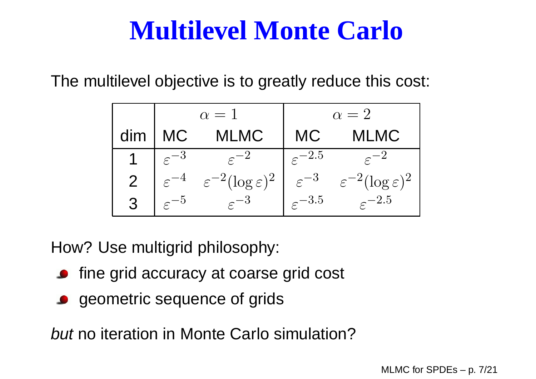The multilevel objective is to greatly reduce this cost:

|                | $\alpha=1$         |                                        | $\alpha=2$           |                                        |
|----------------|--------------------|----------------------------------------|----------------------|----------------------------------------|
| dim            | <b>MC</b>          | <b>MLMC</b>                            | <b>MC</b>            | <b>MLMC</b>                            |
|                | $\varepsilon^{-3}$ |                                        | $\varepsilon^{-2.5}$ |                                        |
| $\overline{2}$ |                    | $\varepsilon^{-2}(\log \varepsilon)^2$ | $\varepsilon^{-3}$   | $\varepsilon^{-2}(\log \varepsilon)^2$ |
| $\overline{3}$ | $\bm{\mathcal{L}}$ | $\varepsilon^{-3}$                     | $-3.5$               | $-2.5$                                 |

How? Use multigrid philosophy:

- **•** fine grid accuracy at coarse grid cost
- geometric sequence of grids

but no iteration in Monte Carlo simulation?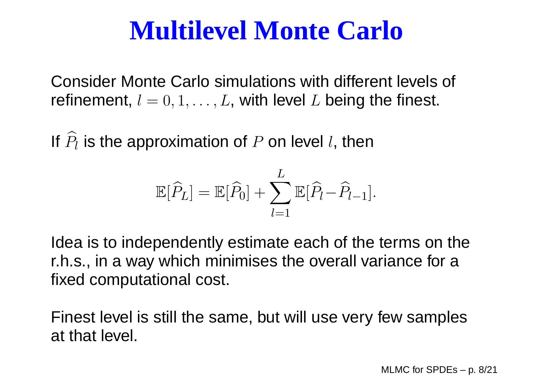Consider Monte Carlo simulations with different levels of refinement,  $l = 0, 1, \ldots, L$ , with level  $L$  being the finest.

If  $\widehat{P}_{l}$  is the approximation of  $P$  on level  $l$ , then

$$
\mathbb{E}[\widehat{P}_L] = \mathbb{E}[\widehat{P}_0] + \sum_{l=1}^L \mathbb{E}[\widehat{P}_l - \widehat{P}_{l-1}].
$$

Idea is to independently estimate each of the terms on ther.h.s., in <sup>a</sup> way which minimises the overall variance for <sup>a</sup>fixed computational cost.

Finest level is still the same, but will use very few samplesat that level.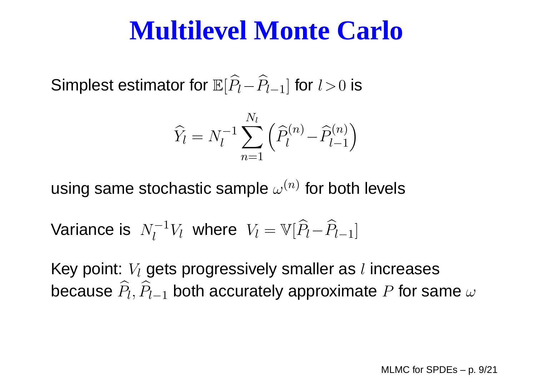Simplest estimator for  $\mathbb{E}[\widehat{P}_{l}-\widehat{P}_{l-1}]$  for  $l\!>\!0$  is

$$
\widehat{Y}_l = N_l^{-1} \sum_{n=1}^{N_l} \left( \widehat{P}_l^{(n)} - \widehat{P}_{l-1}^{(n)} \right)
$$

using same stochastic sample  $\omega^{(n)}$  for both levels

Variance is 
$$
N_l^{-1}V_l
$$
 where  $V_l = \mathbb{V}[\widehat{P}_l - \widehat{P}_{l-1}]$ 

Key point:  $V_l$  gets progressively smaller as  $l$  increases because  $\widehat{P}_l, \widehat{P}_{l-1}$  both accurately approximate  $P$  for sa  $_1$  both accurately approximate  $P$  for same  $\omega$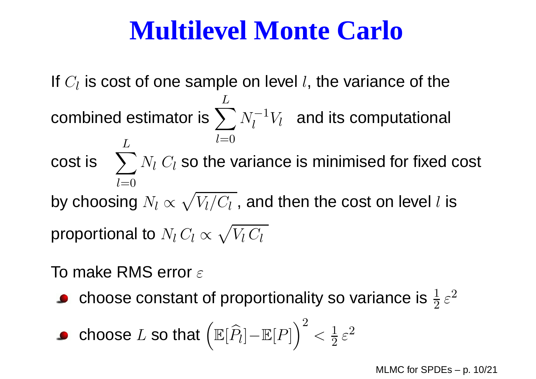If  $C_l$  is cost of one sample on level  $l$ , the variance of the combined estimator is  $\sum^{L}$  $l{=}0$  $N_{I}^{-}$ 1 $\bar{l}_l^{-1}V_l^-$  and its computational cost is  $\sum^L N_l \ C_l$  so the variance is minimised for fixed cost  $l=0$ by choosing  $N_l \propto \sqrt{V_l/C_l}$  , and then the cost on level  $l$  is proportional to  $\mathit{N}_l$   $C_l \propto \sqrt{V_l \, C_l}$ 

To make RMS error  $\varepsilon$ 

choose constant of proportionality so variance is  $\frac{1}{2}$  $\frac{1}{2}$   $\varepsilon$ 2

**• choose** 
$$
L
$$
 **so that**  $(\mathbb{E}[\widehat{P}_l] - \mathbb{E}[P])^2 < \frac{1}{2} \varepsilon^2$ 

MLMC for SPDEs – p. 10/21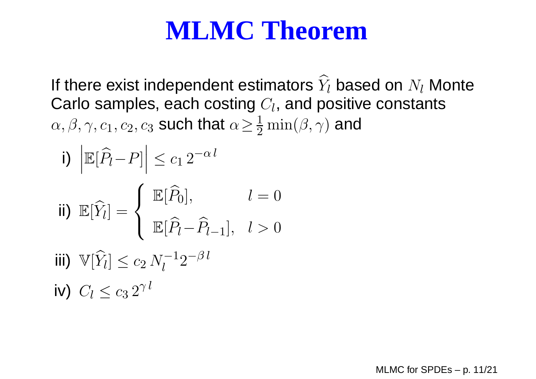### **MLMC Theorem**

If there exist independent estimators  $\widehat{Y}_l$  based on  $N_l$  Monte Carlo samples, each costing  $C_l$ , and positive constants  $\alpha,\beta,\gamma,c_1,c_2,c_3$  such that  $\alpha$   $\geq$  $_3$  such that  $\alpha\!\geq\!\frac{1}{2}$  2 $\frac{1}{2} \min(\beta, \gamma)$  and

i) 
$$
\begin{aligned}\n\left| \mathbb{E}[\widehat{P}_l - P] \right| &\leq c_1 \, 2^{-\alpha \, l} \\
\text{ii) } \mathbb{E}[\widehat{Y}_l] &= \left\{ \begin{array}{ll} \mathbb{E}[\widehat{P}_0], & l = 0 \\
\mathbb{E}[\widehat{P}_l - \widehat{P}_{l-1}], & l > 0 \end{array} \right. \\
\text{iii) } \mathbb{V}[\widehat{Y}_l] &\leq c_2 \, N_l^{-1} 2^{-\beta \, l} \\
\text{iv) } C_l &\leq c_3 \, 2^{\gamma \, l}\n\end{aligned}
$$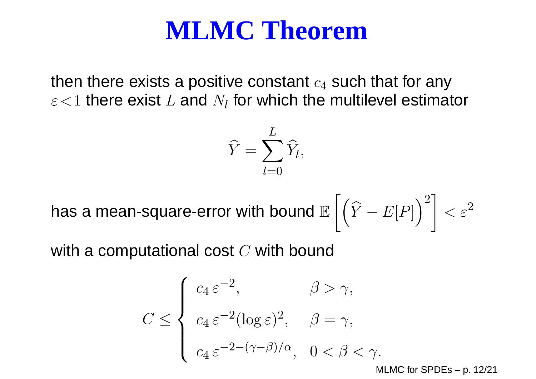#### **MLMC Theorem**

then there exists a positive constant  $c_4$  $\varepsilon\!<\!1$  there exist  $L$  and  $N_l$  for which the multilevel estimator  $_4$  such that for any

$$
\widehat{Y} = \sum_{l=0}^L \widehat{Y}_l,
$$

has <sup>a</sup> mean-square-error with bound $\mathbb E$  $\Biggl[ \Bigl( \widehat{Y}$ − $E[P]$  $\bigg)^2$  $\Big] < \varepsilon^2$ 2

with a computational cost  $C$  with bound

$$
C \leq \begin{cases} c_4 \varepsilon^{-2}, & \beta > \gamma, \\ c_4 \varepsilon^{-2} (\log \varepsilon)^2, & \beta = \gamma, \\ c_4 \varepsilon^{-2 - (\gamma - \beta)/\alpha}, & 0 < \beta < \gamma. \end{cases}
$$

MLMC for SPDEs – p. 12/21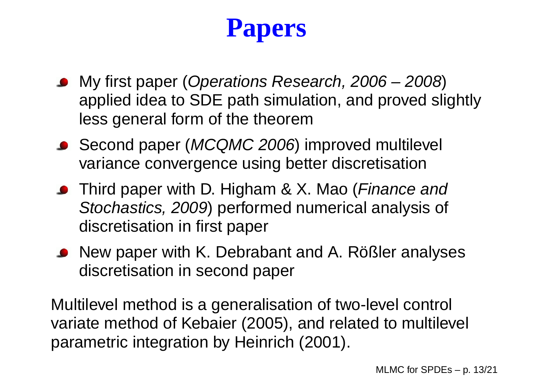# **Papers**

- My first paper (Operations Research, 2006 2008) applied idea to SDE path simulation, and proved slightlyless general form of the theorem
- Second paper (MCQMC 2006) improved multilevel variance convergence using better discretisation
- Third paper with D. Higham & X. Mao (Finance and Stochastics, 2009) performed numerical analysis of discretisation in first paper
- New paper with K. Debrabant and A. Rößler analyses discretisation in second paper

Multilevel method is <sup>a</sup> generalisation of two-level control variate method of Kebaier (2005), and related to multilevel parametric integration by Heinrich (2001).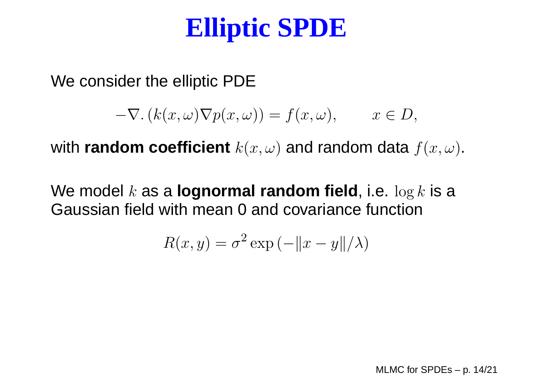## **Elliptic SPDE**

We consider the elliptic PDE

$$
-\nabla. (k(x,\omega)\nabla p(x,\omega)) = f(x,\omega), \qquad x \in D,
$$

with  $\bm{{\sf random}}$   $\bm{{\sf coefficient}}$   $k(x,\omega)$  and  $\bm{{\sf random}}$  data  $f(x,\omega)$ .

We model <sup>k</sup> as <sup>a</sup> **lognormal random field**, i.e. log <sup>k</sup> is <sup>a</sup> Gaussian field with mean 0 and covariance function

$$
R(x, y) = \sigma^2 \exp(-\|x - y\|/\lambda)
$$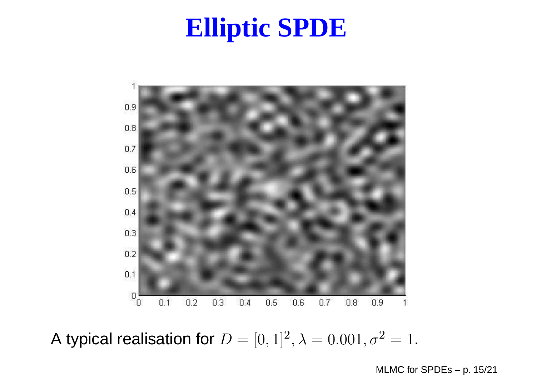### **Elliptic SPDE**



A typical realisation for  $D=[0,1]^2, \lambda=0.001, \sigma^2=1.$ 

MLMC for SPDEs – p. 15/21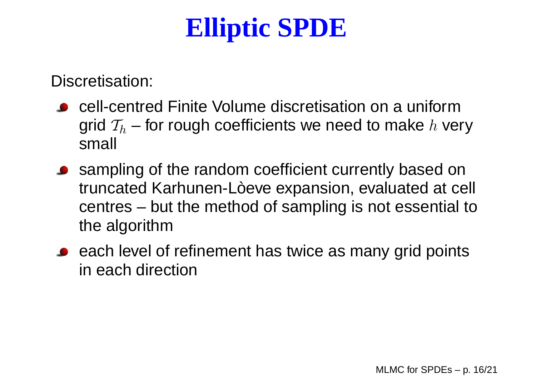# **Elliptic SPDE**

Discretisation:

- cell-centred Finite Volume discretisation on <sup>a</sup> uniformgrid  $\mathcal{T}_h$  – for rough coefficients we need to make  $h$  very small
- **•** sampling of the random coefficient currently based on truncated Karhunen-Lòeve expansion, evaluated at cell centres – but the method of sampling is not essential tothe algorithm
- each level of refinement has twice as many grid pointsin each direction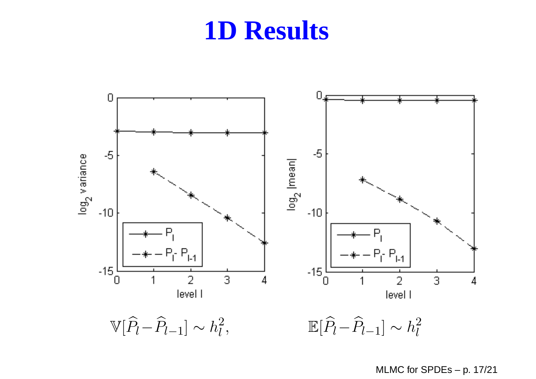

MLMC for SPDEs – p. 17/21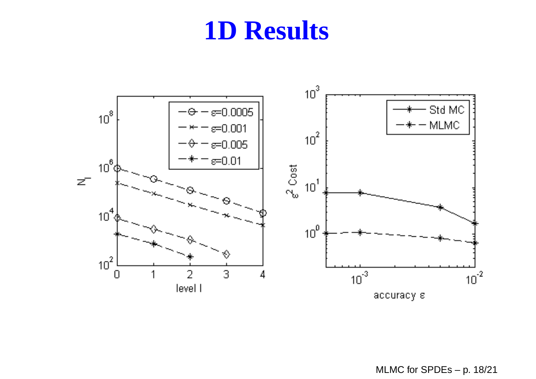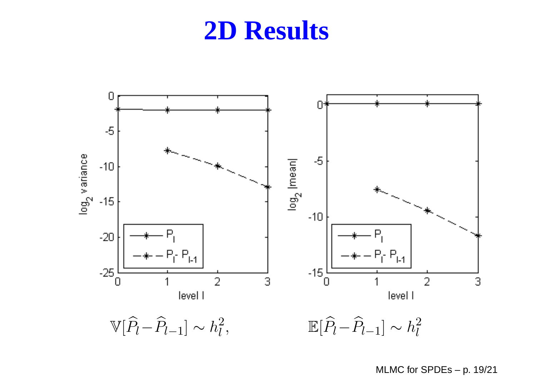

MLMC for SPDEs – p. 19/21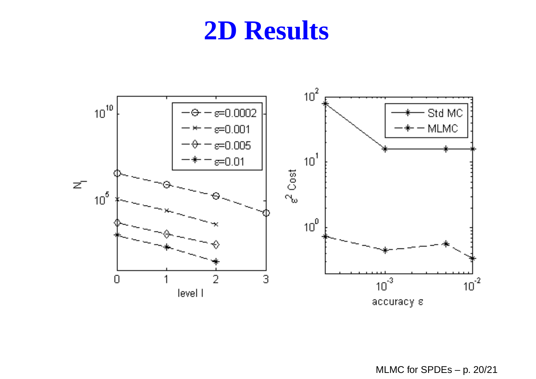